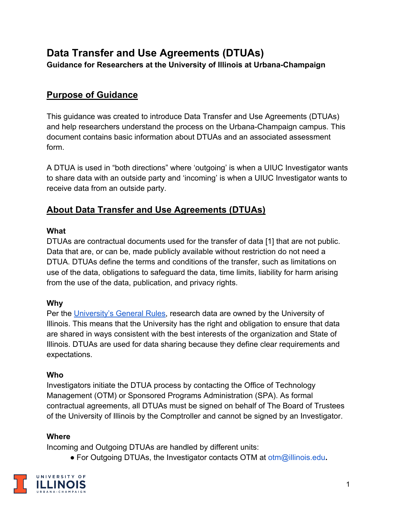# **Data Transfer and Use Agreements (DTUAs)**

**Guidance for Researchers at the University of Illinois at Urbana-Champaign**

## **Purpose of Guidance**

This guidance was created to introduce Data Transfer and Use Agreements (DTUAs) and help researchers understand the process on the Urbana-Champaign campus. This document contains basic information about DTUAs and an associated assessment form.

A DTUA is used in "both directions" where 'outgoing' is when a UIUC Investigator wants to share data with an outside party and 'incoming' is when a UIUC Investigator wants to receive data from an outside party.

### **About Data Transfer and Use Agreements (DTUAs)**

#### **What**

DTUAs are contractual documents used for the transfer of data [1] that are not public. Data that are, or can be, made publicly available without restriction do not need a DTUA. DTUAs define the terms and conditions of the transfer, such as limitations on use of the data, obligations to safeguard the data, time limits, liability for harm arising from the use of the data, publication, and privacy rights.

#### **Why**

Per the [University's General Rules,](https://www.bot.uillinois.edu/governance/general_rules) research data are owned by the University of Illinois. This means that the University has the right and obligation to ensure that data are shared in ways consistent with the best interests of the organization and State of Illinois. DTUAs are used for data sharing because they define clear requirements and expectations.

#### **Who**

Investigators initiate the DTUA process by contacting the Office of Technology Management (OTM) or Sponsored Programs Administration (SPA). As formal contractual agreements, all DTUAs must be signed on behalf of The Board of Trustees of the University of Illinois by the Comptroller and cannot be signed by an Investigator.

#### **Where**

Incoming and Outgoing DTUAs are handled by different units:

● For Outgoing DTUAs, the Investigator contacts OTM at [otm@illinois.edu](mailto:otm@illinois.edu)**.**

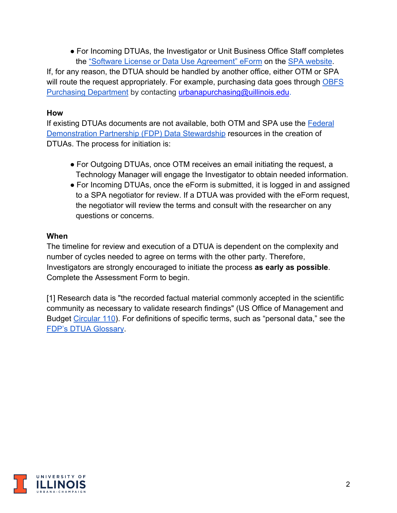● For Incoming DTUAs, the Investigator or Unit Business Office Staff completes the ["Software License or Data Use Agreement" eForm](https://appserv7.admin.uillinois.edu/FormBuilderSurvey/Survey/research_park/spa/license/) on the [SPA website.](https://sponsoredprograms.illinois.edu/)

If, for any reason, the DTUA should be handled by another office, either OTM or SPA will route the request appropriately. For example, purchasing data goes through OBFS [Purchasing Department](https://www.obfs.uillinois.edu/purchases/) by contacting [urbanapurchasing@uillinois.edu.](mailto:urbanapurchasing@uillinois.edu)

#### **How**

If existing DTUAs documents are not available, both OTM and SPA use the [Federal](https://thefdp.org/default/committees/research-compliance/data-stewardship/)  [Demonstration Partnership \(FDP\) Data Stewardship](https://thefdp.org/default/committees/research-compliance/data-stewardship/) resources in the creation of DTUAs. The process for initiation is:

- For Outgoing DTUAs, once OTM receives an email initiating the request, a Technology Manager will engage the Investigator to obtain needed information.
- For Incoming DTUAs, once the eForm is submitted, it is logged in and assigned to a SPA negotiator for review. If a DTUA was provided with the eForm request, the negotiator will review the terms and consult with the researcher on any questions or concerns.

#### **When**

The timeline for review and execution of a DTUA is dependent on the complexity and number of cycles needed to agree on terms with the other party. Therefore, Investigators are strongly encouraged to initiate the process **as early as possible**. Complete the Assessment Form to begin.

[1] Research data is "the recorded factual material commonly accepted in the scientific community as necessary to validate research findings" (US Office of Management and Budget [Circular 110\)](https://www.federalregister.gov/documents/1999/10/08/99-26264/omb-circular-a-110-uniform-administrative-requirements-for-grants-and-agreements-with-institutions). For definitions of specific terms, such as "personal data," see the [FDP's DTUA Glossary.](https://thefdp.org/default/assets/File/Documents/dtua_glossary.pdf)

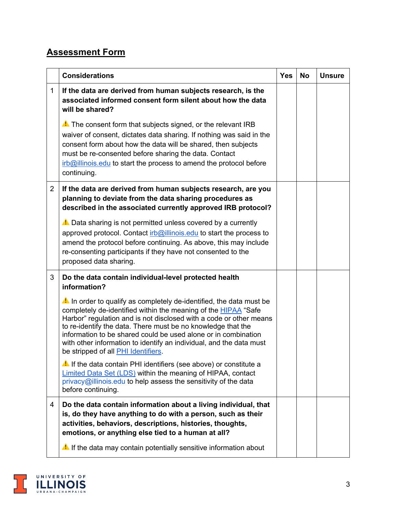## **Assessment Form**

|                | <b>Considerations</b>                                                                                                                                                                                                                                                                                                                                                                                                                                       | <b>Yes</b> | <b>No</b> | <b>Unsure</b> |
|----------------|-------------------------------------------------------------------------------------------------------------------------------------------------------------------------------------------------------------------------------------------------------------------------------------------------------------------------------------------------------------------------------------------------------------------------------------------------------------|------------|-----------|---------------|
| $\mathbf{1}$   | If the data are derived from human subjects research, is the<br>associated informed consent form silent about how the data<br>will be shared?                                                                                                                                                                                                                                                                                                               |            |           |               |
|                | The consent form that subjects signed, or the relevant IRB<br>waiver of consent, dictates data sharing. If nothing was said in the<br>consent form about how the data will be shared, then subjects<br>must be re-consented before sharing the data. Contact<br>$irb@$ illinois edu to start the process to amend the protocol before<br>continuing.                                                                                                        |            |           |               |
| $\overline{2}$ | If the data are derived from human subjects research, are you<br>planning to deviate from the data sharing procedures as<br>described in the associated currently approved IRB protocol?                                                                                                                                                                                                                                                                    |            |           |               |
|                | A Data sharing is not permitted unless covered by a currently<br>approved protocol. Contact irb@illinois.edu to start the process to<br>amend the protocol before continuing. As above, this may include<br>re-consenting participants if they have not consented to the<br>proposed data sharing.                                                                                                                                                          |            |           |               |
| 3              | Do the data contain individual-level protected health<br>information?                                                                                                                                                                                                                                                                                                                                                                                       |            |           |               |
|                | A In order to qualify as completely de-identified, the data must be<br>completely de-identified within the meaning of the HIPAA "Safe<br>Harbor" regulation and is not disclosed with a code or other means<br>to re-identify the data. There must be no knowledge that the<br>information to be shared could be used alone or in combination<br>with other information to identify an individual, and the data must<br>be stripped of all PHI Identifiers. |            |           |               |
|                | If the data contain PHI identifiers (see above) or constitute a<br>Limited Data Set (LDS) within the meaning of HIPAA, contact<br>privacy@illinois.edu to help assess the sensitivity of the data<br>before continuing.                                                                                                                                                                                                                                     |            |           |               |
| 4              | Do the data contain information about a living individual, that<br>is, do they have anything to do with a person, such as their<br>activities, behaviors, descriptions, histories, thoughts,<br>emotions, or anything else tied to a human at all?                                                                                                                                                                                                          |            |           |               |
|                | A. If the data may contain potentially sensitive information about                                                                                                                                                                                                                                                                                                                                                                                          |            |           |               |

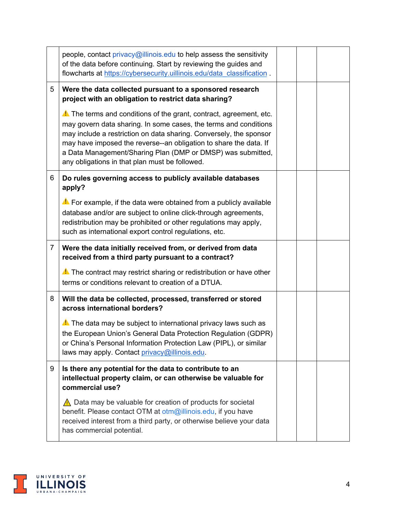|                | people, contact privacy@illinois.edu to help assess the sensitivity<br>of the data before continuing. Start by reviewing the guides and<br>flowcharts at https://cybersecurity.uillinois.edu/data_classification.                                                                                                                                                                                   |  |  |
|----------------|-----------------------------------------------------------------------------------------------------------------------------------------------------------------------------------------------------------------------------------------------------------------------------------------------------------------------------------------------------------------------------------------------------|--|--|
| 5              | Were the data collected pursuant to a sponsored research<br>project with an obligation to restrict data sharing?                                                                                                                                                                                                                                                                                    |  |  |
|                | A. The terms and conditions of the grant, contract, agreement, etc.<br>may govern data sharing. In some cases, the terms and conditions<br>may include a restriction on data sharing. Conversely, the sponsor<br>may have imposed the reverse--an obligation to share the data. If<br>a Data Management/Sharing Plan (DMP or DMSP) was submitted,<br>any obligations in that plan must be followed. |  |  |
| 6              | Do rules governing access to publicly available databases<br>apply?                                                                                                                                                                                                                                                                                                                                 |  |  |
|                | $\triangle$ For example, if the data were obtained from a publicly available<br>database and/or are subject to online click-through agreements,<br>redistribution may be prohibited or other regulations may apply,<br>such as international export control regulations, etc.                                                                                                                       |  |  |
| $\overline{7}$ | Were the data initially received from, or derived from data                                                                                                                                                                                                                                                                                                                                         |  |  |
|                | received from a third party pursuant to a contract?                                                                                                                                                                                                                                                                                                                                                 |  |  |
|                | A. The contract may restrict sharing or redistribution or have other<br>terms or conditions relevant to creation of a DTUA.                                                                                                                                                                                                                                                                         |  |  |
| 8              | Will the data be collected, processed, transferred or stored<br>across international borders?                                                                                                                                                                                                                                                                                                       |  |  |
|                | A. The data may be subject to international privacy laws such as<br>the European Union's General Data Protection Regulation (GDPR)<br>or China's Personal Information Protection Law (PIPL), or similar<br>laws may apply. Contact privacy@illinois.edu.                                                                                                                                            |  |  |
| 9              | Is there any potential for the data to contribute to an<br>intellectual property claim, or can otherwise be valuable for<br>commercial use?                                                                                                                                                                                                                                                         |  |  |